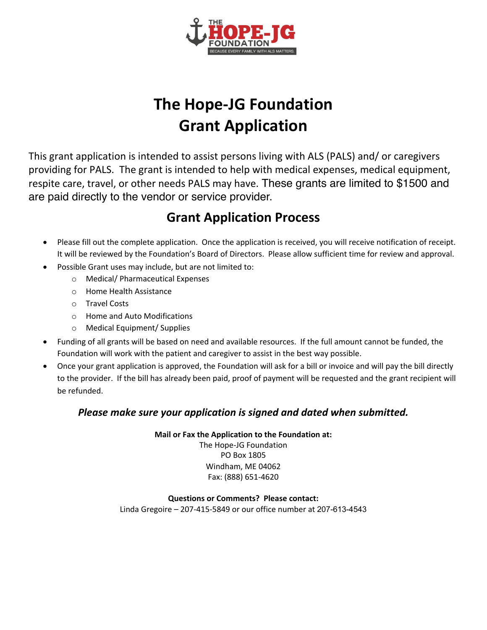

# **The Hope-JG Foundation Grant Application**

This grant application is intended to assist persons living with ALS (PALS) and/ or caregivers providing for PALS. The grant is intended to help with medical expenses, medical equipment, respite care, travel, or other needs PALS may have. These grants are limited to \$1500 and are paid directly to the vendor or service provider.

### **Grant Application Process**

- Please fill out the complete application. Once the application is received, you will receive notification of receipt. It will be reviewed by the Foundation's Board of Directors. Please allow sufficient time for review and approval.
- Possible Grant uses may include, but are not limited to:
	- o Medical/ Pharmaceutical Expenses
	- $\circ$  Home Health Assistance
	- o Travel Costs
	- o Home and Auto Modifications
	- o Medical Equipment/ Supplies
- Funding of all grants will be based on need and available resources. If the full amount cannot be funded, the Foundation will work with the patient and caregiver to assist in the best way possible.
- Once your grant application is approved, the Foundation will ask for a bill or invoice and will pay the bill directly to the provider. If the bill has already been paid, proof of payment will be requested and the grant recipient will be refunded.

#### *Please make sure your application is signed and dated when submitted.*

**Mail or Fax the Application to the Foundation at:** 

The Hope-JG Foundation PO Box 1805 Windham, ME 04062 Fax: (888) 651-4620

#### **Questions or Comments? Please contact:**

Linda Gregoire  $-$  207-415-5849 or our office number at 207-613-4543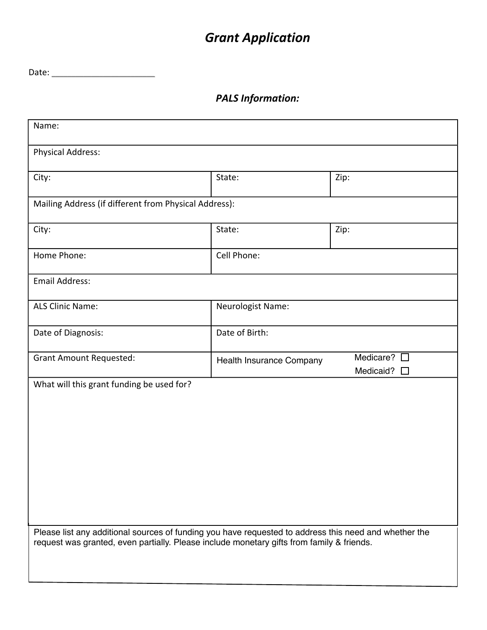## *Grant Application*

Date: \_\_\_\_\_\_\_\_\_\_\_\_\_\_\_\_\_\_\_\_\_\_\_\_\_\_

*PALS Information:*

| Name:                                                                                                                                                                                              |                          |                                                  |  |
|----------------------------------------------------------------------------------------------------------------------------------------------------------------------------------------------------|--------------------------|--------------------------------------------------|--|
| <b>Physical Address:</b>                                                                                                                                                                           |                          |                                                  |  |
| City:                                                                                                                                                                                              | State:                   | Zip:                                             |  |
| Mailing Address (if different from Physical Address):                                                                                                                                              |                          |                                                  |  |
| City:                                                                                                                                                                                              | State:                   | Zip:                                             |  |
| Home Phone:                                                                                                                                                                                        | Cell Phone:              |                                                  |  |
| <b>Email Address:</b>                                                                                                                                                                              |                          |                                                  |  |
| <b>ALS Clinic Name:</b>                                                                                                                                                                            | Neurologist Name:        |                                                  |  |
| Date of Diagnosis:                                                                                                                                                                                 | Date of Birth:           |                                                  |  |
| <b>Grant Amount Requested:</b>                                                                                                                                                                     | Health Insurance Company | Medicare? $\square$<br>Medicaid?<br>$\mathbf{I}$ |  |
| What will this grant funding be used for?                                                                                                                                                          |                          |                                                  |  |
|                                                                                                                                                                                                    |                          |                                                  |  |
|                                                                                                                                                                                                    |                          |                                                  |  |
|                                                                                                                                                                                                    |                          |                                                  |  |
|                                                                                                                                                                                                    |                          |                                                  |  |
|                                                                                                                                                                                                    |                          |                                                  |  |
| Please list any additional sources of funding you have requested to address this need and whether the<br>request was granted, even partially. Please include monetary gifts from family & friends. |                          |                                                  |  |
|                                                                                                                                                                                                    |                          |                                                  |  |
|                                                                                                                                                                                                    |                          |                                                  |  |